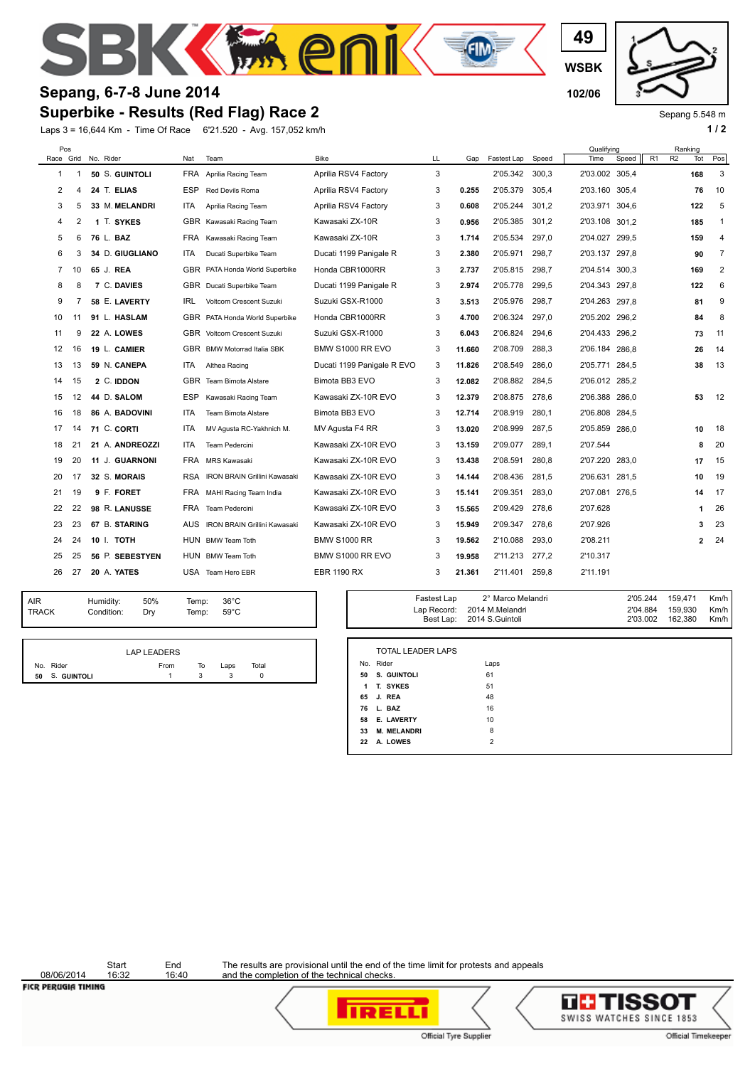

## **Superbike - Results (Red Flag) Race 2 Sepang, 6-7-8 June 2014 102/06 102/06**

Laps 3 = 16,644 Km - Time Of Race 6'21.520 - Avg. 157,052 km/h **1 / 2 1 / 2 1 / 2** 

**WSBK 49**



Sepang 5.548 m

| Pos |    | Race Grid No. Rider | Nat        | Team                                | Bike                       | LL | Gap    | Fastest Lap | Speed | Qualifying<br>Time | Speed | R1 | Ranking<br>R <sub>2</sub> | Tot            | Pos            |
|-----|----|---------------------|------------|-------------------------------------|----------------------------|----|--------|-------------|-------|--------------------|-------|----|---------------------------|----------------|----------------|
| 1   |    | 50 S. GUINTOLI      | FRA        | Aprilia Racing Team                 | Aprilia RSV4 Factory       | 3  |        | 2'05.342    | 300,3 | 2'03.002 305,4     |       |    |                           | 168            | 3              |
| 2   | 4  | 24 T. ELIAS         | <b>ESP</b> | <b>Red Devils Roma</b>              | Aprilia RSV4 Factory       | 3  | 0.255  | 2'05.379    | 305.4 | 2'03.160 305.4     |       |    |                           | 76             | 10             |
| 3   | 5  | 33 M. MELANDRI      | <b>ITA</b> | Aprilia Racing Team                 | Aprilia RSV4 Factory       | 3  | 0.608  | 2'05.244    | 301.2 | 2'03.971 304.6     |       |    |                           | 122            | 5              |
| 4   | 2  | 1 T. SYKES          |            | GBR Kawasaki Racing Team            | Kawasaki ZX-10R            | 3  | 0.956  | 2'05.385    | 301.2 | 2'03.108 301,2     |       |    |                           | 185            | $\mathbf{1}$   |
| 5   | 6  | 76 L. BAZ           | <b>FRA</b> | Kawasaki Racing Team                | Kawasaki ZX-10R            | 3  | 1.714  | 2'05.534    | 297,0 | 2'04.027 299,5     |       |    |                           | 159            | 4              |
| 6   | 3  | 34 D. GIUGLIANO     | ITA        | Ducati Superbike Team               | Ducati 1199 Panigale R     | 3  | 2.380  | 2'05.971    | 298.7 | 2'03.137 297.8     |       |    |                           | 90             | $\overline{7}$ |
| 7   | 10 | 65 J. REA           | GBR        | PATA Honda World Superbike          | Honda CBR1000RR            | 3  | 2.737  | 2'05.815    | 298,7 | 2'04.514 300,3     |       |    |                           | 169            | 2              |
| 8   | 8  | 7 C. DAVIES         |            | GBR Ducati Superbike Team           | Ducati 1199 Panigale R     | 3  | 2.974  | 2'05.778    | 299.5 | 2'04.343 297,8     |       |    |                           | 122            | 6              |
| 9   | 7  | 58 E. LAVERTY       | IRL        | Voltcom Crescent Suzuki             | Suzuki GSX-R1000           | 3  | 3.513  | 2'05.976    | 298,7 | 2'04.263 297,8     |       |    |                           | 81             | 9              |
| 10  | 11 | 91 L. HASLAM        | GBR        | PATA Honda World Superbike          | Honda CBR1000RR            | 3  | 4.700  | 2'06.324    | 297,0 | 2'05.202 296.2     |       |    |                           | 84             | 8              |
| 11  | 9  | 22 A. LOWES         |            | <b>GBR</b> Voltcom Crescent Suzuki  | Suzuki GSX-R1000           | 3  | 6.043  | 2'06.824    | 294.6 | 2'04.433 296.2     |       |    |                           | 73             | 11             |
| 12  | 16 | 19 L. CAMIER        |            | GBR BMW Motorrad Italia SBK         | BMW S1000 RR EVO           | 3  | 11.660 | 2'08.709    | 288.3 | 2'06.184 286.8     |       |    |                           | 26             | 14             |
| 13  | 13 | 59 N. CANEPA        | ITA        | Althea Racing                       | Ducati 1199 Panigale R EVO | 3  | 11.826 | 2'08.549    | 286.0 | 2'05.771 284.5     |       |    |                           | 38             | 13             |
| 14  | 15 | 2 C. IDDON          | GBR        | Team Bimota Alstare                 | Bimota BB3 EVO             | 3  | 12.082 | 2'08.882    | 284.5 | 2'06.012 285,2     |       |    |                           |                |                |
| 15  | 12 | 44 D. SALOM         | <b>ESP</b> | Kawasaki Racing Team                | Kawasaki ZX-10R EVO        | 3  | 12.379 | 2'08.875    | 278.6 | 2'06.388 286.0     |       |    |                           | 53             | 12             |
| 16  | 18 | 86 A. BADOVINI      | <b>ITA</b> | <b>Team Bimota Alstare</b>          | Bimota BB3 EVO             | 3  | 12.714 | 2'08.919    | 280.1 | 2'06.808 284,5     |       |    |                           |                |                |
| 17  | 14 | 71 C. CORTI         | <b>ITA</b> | MV Agusta RC-Yakhnich M.            | MV Agusta F4 RR            | 3  | 13.020 | 2'08.999    | 287.5 | 2'05.859 286.0     |       |    |                           | 10             | 18             |
| 18  | 21 | 21 A. ANDREOZZI     | <b>ITA</b> | Team Pedercini                      | Kawasaki ZX-10R EVO        | 3  | 13.159 | 2'09.077    | 289,1 | 2'07.544           |       |    |                           | 8              | 20             |
| 19  | 20 | 11 J. GUARNONI      | <b>FRA</b> | <b>MRS Kawasaki</b>                 | Kawasaki ZX-10R EVO        | 3  | 13.438 | 2'08.591    | 280.8 | 2'07.220           | 283.0 |    |                           | 17             | 15             |
| 20  | 17 | 32 S. MORAIS        | RSA        | <b>IRON BRAIN Grillini Kawasaki</b> | Kawasaki ZX-10R EVO        | 3  | 14.144 | 2'08.436    | 281.5 | 2'06.631 281,5     |       |    |                           | 10             | 19             |
| 21  | 19 | 9 F. FORET          |            | FRA MAHI Racing Team India          | Kawasaki ZX-10R EVO        | 3  | 15.141 | 2'09.351    | 283.0 | 2'07.081 276,5     |       |    |                           | 14             | 17             |
| 22  | 22 | 98 R. LANUSSE       | <b>FRA</b> | Team Pedercini                      | Kawasaki ZX-10R EVO        | 3  | 15.565 | 2'09.429    | 278,6 | 2'07.628           |       |    |                           | 1              | 26             |
| 23  | 23 | 67 B. STARING       | AUS        | <b>IRON BRAIN Grillini Kawasaki</b> | Kawasaki ZX-10R EVO        | 3  | 15.949 | 2'09.347    | 278.6 | 2'07.926           |       |    |                           | 3              | 23             |
| 24  | 24 | 10 I. TOTH          |            | HUN BMW Team Toth                   | <b>BMW S1000 RR</b>        | 3  | 19.562 | 2'10.088    | 293,0 | 2'08.211           |       |    |                           | $\overline{2}$ | 24             |
| 25  | 25 | 56 P. SEBESTYEN     |            | HUN BMW Team Toth                   | BMW S1000 RR EVO           | 3  | 19.958 | 2'11.213    | 277,2 | 2'10.317           |       |    |                           |                |                |
| 26  | 27 | 20 A. YATES         |            | USA Team Hero EBR                   | <b>EBR 1190 RX</b>         | 3  | 21.361 | 2'11.401    | 259.8 | 2'11.191           |       |    |                           |                |                |
|     |    |                     |            |                                     |                            |    |        |             |       |                    |       |    |                           |                |                |

| AIR          | Humidity:  | 50% | Temp: | 36°C |
|--------------|------------|-----|-------|------|
| <b>TRACK</b> | Condition: | Drv | Temp: | 59°C |

|                   | <b>LAP LEADERS</b> |    |      |       |
|-------------------|--------------------|----|------|-------|
| No. Rider         | From               | To | Laps | Total |
| s. Guintoli<br>50 |                    | 3  |      |       |

| Temp: | $36^{\circ}$ C | <sup>=</sup> astest Lap  | 2° Marco Melandri                  | 2'05.244             | 159.471            | Km/h         |
|-------|----------------|--------------------------|------------------------------------|----------------------|--------------------|--------------|
| Temp: | $59^{\circ}$ C | Lap Record:<br>Best Lap: | 2014 M.Melandri<br>2014 S.Guintoli | 2'04.884<br>2'03.002 | 159.930<br>162.380 | Km/h<br>Km/h |
|       |                |                          |                                    |                      |                    |              |

|    | <b>TOTAL LEADER LAPS</b> |                |
|----|--------------------------|----------------|
|    | No. Rider                | Laps           |
| 50 | S. GUINTOLI              | 61             |
| 1  | <b>T. SYKES</b>          | 51             |
|    | 65 J. REA                | 48             |
|    | 76 L. BAZ                | 16             |
| 58 | <b>E. LAVERTY</b>        | 10             |
| 33 | <b>M. MELANDRI</b>       | 8              |
|    | 22 A. LOWES              | $\overline{2}$ |

08/06/2014<br>FICR PERUGIA TIMING

Start End<br>16:32 16:40

The results are provisional until the end of the time limit for protests and appeals and the completion of the technical checks.



**IRELLI** Official Tyre Supplier